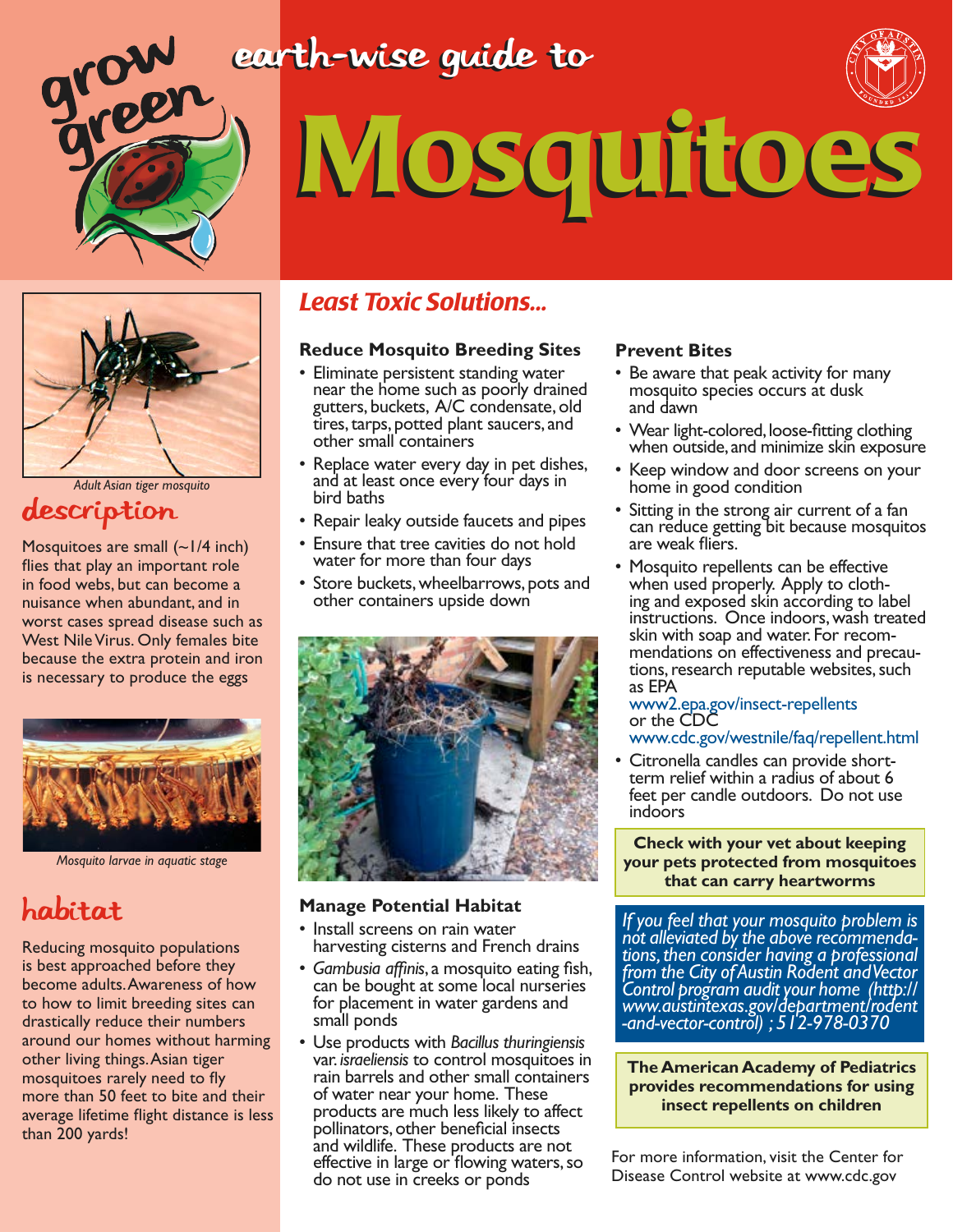## earth-wise guide to



# Mosquitoes Mosquitoes



*Adult Asian tiger mosquito*

## description

Mosquitoes are small  $(-1/4$  inch) flies that play an important role in food webs, but can become a nuisance when abundant, and in worst cases spread disease such as West Nile Virus. Only females bite because the extra protein and iron is necessary to produce the eggs



*Mosquito larvae in aquatic stage*

## habitat

Reducing mosquito populations is best approached before they become adults. Awareness of how to how to limit breeding sites can drastically reduce their numbers around our homes without harming other living things. Asian tiger mosquitoes rarely need to fly more than 50 feet to bite and their average lifetime flight distance is less than 200 yards!

## *Least Toxic Solutions...*

#### **Reduce Mosquito Breeding Sites**

- Eliminate persistent standing water near the home such as poorly drained gutters, buckets, A/C condensate, old tires, tarps, potted plant saucers, and other small containers
- Replace water every day in pet dishes, and at least once every four days in bird baths
- Repair leaky outside faucets and pipes
- Ensure that tree cavities do not hold water for more than four days
- Store buckets, wheelbarrows, pots and other containers upside down



#### **Manage Potential Habitat**

- Install screens on rain water harvesting cisterns and French drains
- *Gambusia affinis*, a mosquito eating fish, can be bought at some local nurseries for placement in water gardens and small ponds
- Use products with *Bacillus thuringiensis*  var. *israeliensis* to control mosquitoes in rain barrels and other small containers of water near your home. These products are much less likely to affect pollinators, other beneficial insects and wildlife. These products are not effective in large or flowing waters, so do not use in creeks or ponds

#### **Prevent Bites**

- Be aware that peak activity for many mosquito species occurs at dusk and dawn
- Wear light-colored, loose-fitting clothing when outside, and minimize skin exposure
- Keep window and door screens on your home in good condition
- Sitting in the strong air current of a fan can reduce getting bit because mosquitos are weak fliers.
- Mosquito repellents can be effective when used properly. Apply to clothing and exposed skin according to label instructions. Once indoors, wash treated<br>skin with soap and water. For recommendations on effectiveness and precau-<br>tions, research reputable websites, such as EPA

#### www2.epa.gov/insect-repellents or the CDC

#### www.cdc.gov/westnile/faq/repellent.html

• Citronella candles can provide shortterm relief within a radius of about 6 feet per candle outdoors. Do not use indoors

**Check with your vet about keeping your pets protected from mosquitoes that can carry heartworms**

*If you feel that your mosquito problem is not alleviated by the above recommenda- tions, then consider having a professional from the City of Austin Rodent and Vector Control program audit your home (http:// www.austintexas.gov/department/rodent -and-vector-control) ; 512-978-0370*

**The American Academy of Pediatrics provides recommendations for using insect repellents on children**

For more information, visit the Center for Disease Control website at www.cdc.gov